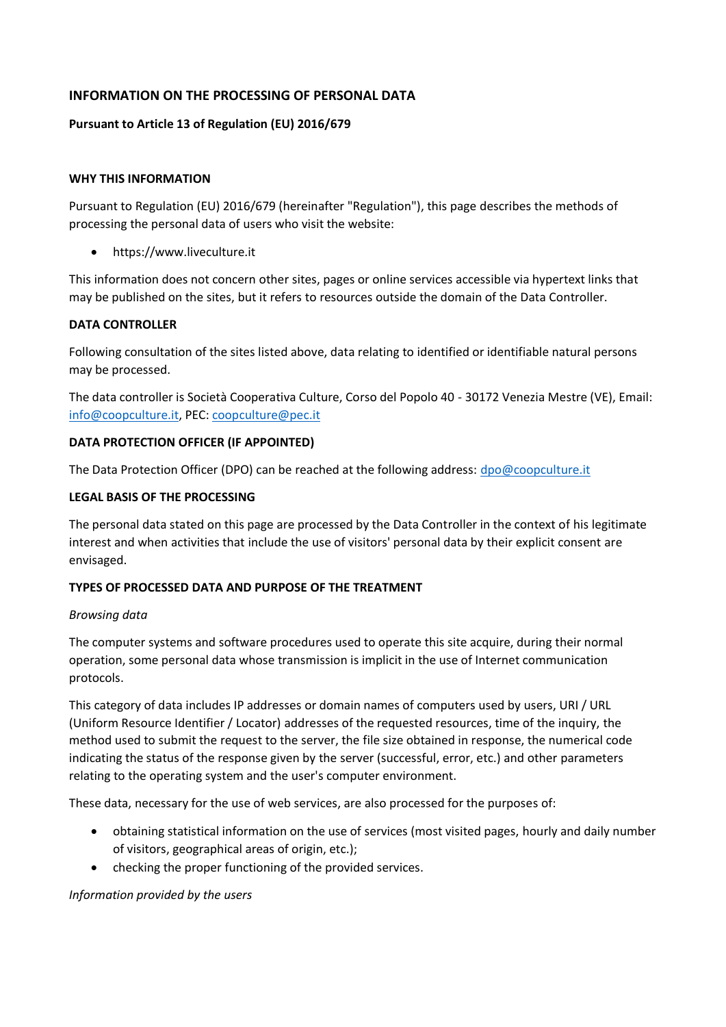# **INFORMATION ON THE PROCESSING OF PERSONAL DATA**

## **Pursuant to Article 13 of Regulation (EU) 2016/679**

## **WHY THIS INFORMATION**

Pursuant to Regulation (EU) 2016/679 (hereinafter "Regulation"), this page describes the methods of processing the personal data of users who visit the website:

• https://www.liveculture.it

This information does not concern other sites, pages or online services accessible via hypertext links that may be published on the sites, but it refers to resources outside the domain of the Data Controller.

### **DATA CONTROLLER**

Following consultation of the sites listed above, data relating to identified or identifiable natural persons may be processed.

The data controller is Società Cooperativa Culture, Corso del Popolo 40 - 30172 Venezia Mestre (VE), Email: [info@coopculture.it,](mailto:info@coopculture.it) PEC: [coopculture@pec.it](mailto:coopculture@pec.it)

### **DATA PROTECTION OFFICER (IF APPOINTED)**

The Data Protection Officer (DPO) can be reached at the following address: [dpo@coopculture.it](mailto:dpo@coopculture.it)

### **LEGAL BASIS OF THE PROCESSING**

The personal data stated on this page are processed by the Data Controller in the context of his legitimate interest and when activities that include the use of visitors' personal data by their explicit consent are envisaged.

## **TYPES OF PROCESSED DATA AND PURPOSE OF THE TREATMENT**

#### *Browsing data*

The computer systems and software procedures used to operate this site acquire, during their normal operation, some personal data whose transmission is implicit in the use of Internet communication protocols.

This category of data includes IP addresses or domain names of computers used by users, URI / URL (Uniform Resource Identifier / Locator) addresses of the requested resources, time of the inquiry, the method used to submit the request to the server, the file size obtained in response, the numerical code indicating the status of the response given by the server (successful, error, etc.) and other parameters relating to the operating system and the user's computer environment.

These data, necessary for the use of web services, are also processed for the purposes of:

- obtaining statistical information on the use of services (most visited pages, hourly and daily number of visitors, geographical areas of origin, etc.);
- checking the proper functioning of the provided services.

#### *Information provided by the users*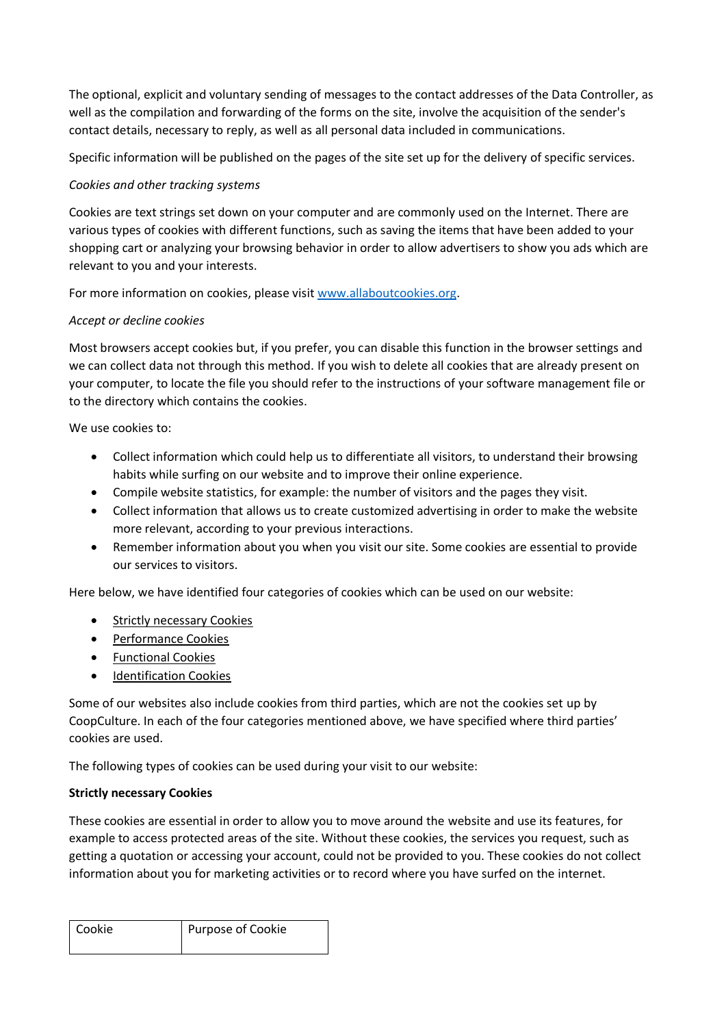The optional, explicit and voluntary sending of messages to the contact addresses of the Data Controller, as well as the compilation and forwarding of the forms on the site, involve the acquisition of the sender's contact details, necessary to reply, as well as all personal data included in communications.

Specific information will be published on the pages of the site set up for the delivery of specific services.

# *Cookies and other tracking systems*

Cookies are text strings set down on your computer and are commonly used on the Internet. There are various types of cookies with different functions, such as saving the items that have been added to your shopping cart or analyzing your browsing behavior in order to allow advertisers to show you ads which are relevant to you and your interests.

For more information on cookies, please visit [www.allaboutcookies.org.](http://www.allaboutcookies.org/)

# *Accept or decline cookies*

Most browsers accept cookies but, if you prefer, you can disable this function in the browser settings and we can collect data not through this method. If you wish to delete all cookies that are already present on your computer, to locate the file you should refer to the instructions of your software management file or to the directory which contains the cookies.

We use cookies to:

- Collect information which could help us to differentiate all visitors, to understand their browsing habits while surfing on our website and to improve their online experience.
- Compile website statistics, for example: the number of visitors and the pages they visit.
- Collect information that allows us to create customized advertising in order to make the website more relevant, according to your previous interactions.
- Remember information about you when you visit our site. Some cookies are essential to provide our services to visitors.

Here below, we have identified four categories of cookies which can be used on our website:

- **Strictly necessary Cookies**
- Performance Cookies
- Functional Cookies
- Identification Cookies

Some of our websites also include cookies from third parties, which are not the cookies set up by CoopCulture. In each of the four categories mentioned above, we have specified where third parties' cookies are used.

The following types of cookies can be used during your visit to our website:

# **Strictly necessary Cookies**

These cookies are essential in order to allow you to move around the website and use its features, for example to access protected areas of the site. Without these cookies, the services you request, such as getting a quotation or accessing your account, could not be provided to you. These cookies do not collect information about you for marketing activities or to record where you have surfed on the internet.

| l Cookie | Purpose of Cookie |
|----------|-------------------|
|          |                   |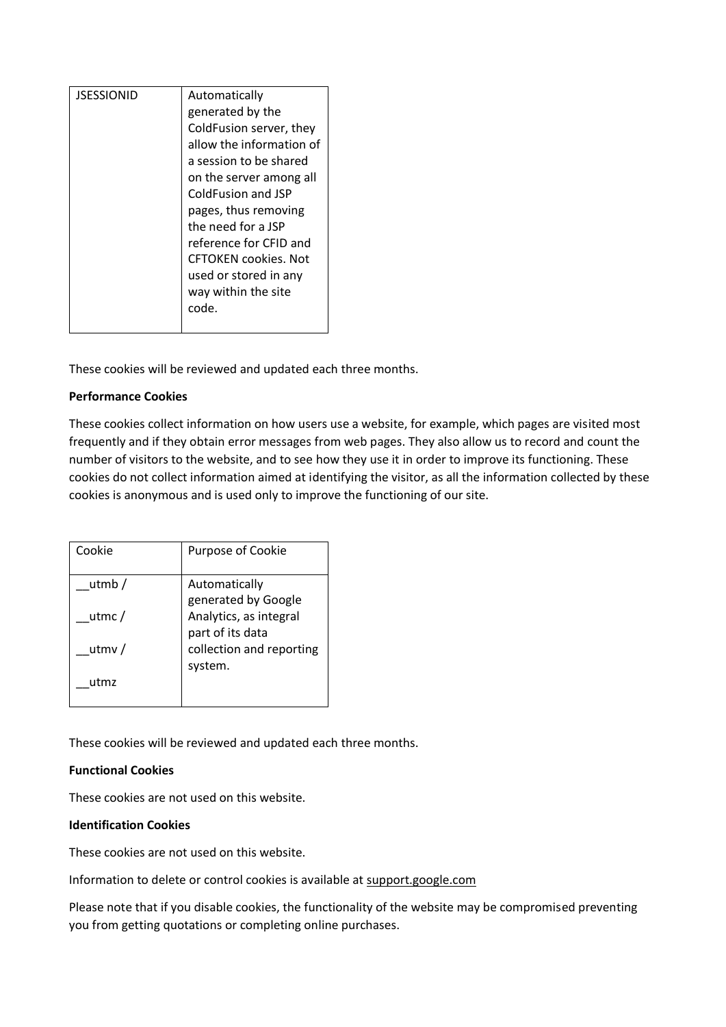| <b>JSESSIONID</b> | Automatically<br>generated by the<br>ColdFusion server, they<br>allow the information of<br>a session to be shared<br>on the server among all<br>ColdFusion and JSP<br>pages, thus removing<br>the need for a JSP<br>reference for CFID and<br><b>CFTOKEN cookies. Not</b><br>used or stored in any |
|-------------------|-----------------------------------------------------------------------------------------------------------------------------------------------------------------------------------------------------------------------------------------------------------------------------------------------------|
|                   | way within the site<br>code.                                                                                                                                                                                                                                                                        |
|                   |                                                                                                                                                                                                                                                                                                     |

These cookies will be reviewed and updated each three months.

## **Performance Cookies**

These cookies collect information on how users use a website, for example, which pages are visited most frequently and if they obtain error messages from web pages. They also allow us to record and count the number of visitors to the website, and to see how they use it in order to improve its functioning. These cookies do not collect information aimed at identifying the visitor, as all the information collected by these cookies is anonymous and is used only to improve the functioning of our site.

| Cookie   | Purpose of Cookie        |
|----------|--------------------------|
| utmb $/$ | Automatically            |
|          | generated by Google      |
| utmc $/$ | Analytics, as integral   |
|          | part of its data         |
| utmy $/$ | collection and reporting |
|          | system.                  |
| utmz     |                          |
|          |                          |

These cookies will be reviewed and updated each three months.

## **Functional Cookies**

These cookies are not used on this website.

## **Identification Cookies**

These cookies are not used on this website.

Information to delete or control cookies is available at support.google.com

Please note that if you disable cookies, the functionality of the website may be compromised preventing you from getting quotations or completing online purchases.